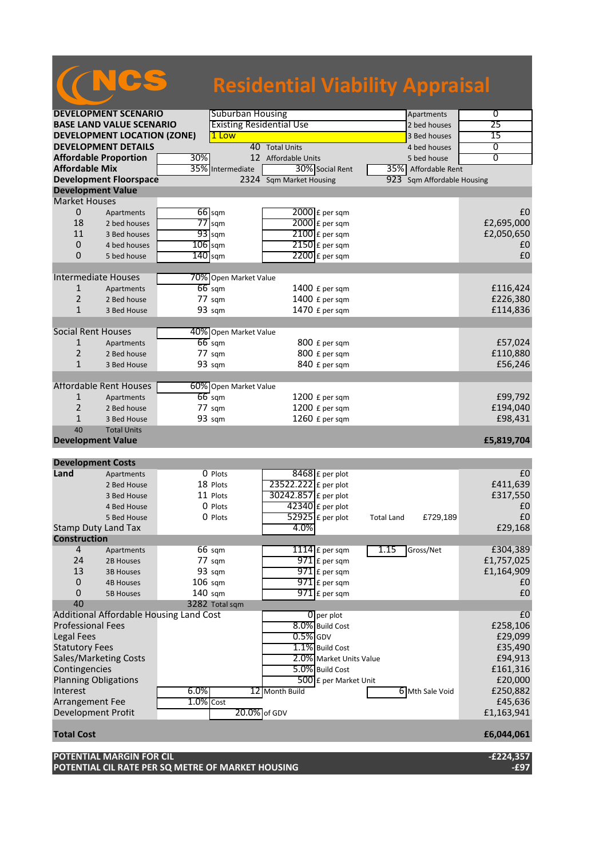## NCS **Residential Viability Appraisal**

|                           | <b>DEVELOPMENT SCENARIO</b>             |           | <b>Suburban Housing</b>         |                          |                         |                   | Apartments                 | $\overline{0}$ |
|---------------------------|-----------------------------------------|-----------|---------------------------------|--------------------------|-------------------------|-------------------|----------------------------|----------------|
|                           | <b>BASE LAND VALUE SCENARIO</b>         |           | <b>Existing Residential Use</b> |                          |                         |                   | 2 bed houses               | 25             |
|                           | <b>DEVELOPMENT LOCATION (ZONE)</b>      |           | 1 Low                           |                          |                         |                   | 3 Bed houses               | 15             |
|                           | <b>DEVELOPMENT DETAILS</b>              |           |                                 | 40 Total Units           |                         |                   | 4 bed houses               | 0              |
|                           | <b>Affordable Proportion</b>            | 30%       |                                 | 12 Affordable Units      |                         |                   | 5 bed house                | $\overline{0}$ |
| <b>Affordable Mix</b>     |                                         |           | 35% Intermediate                | 30% Social Rent          |                         |                   | 35% Affordable Rent        |                |
|                           | <b>Development Floorspace</b>           |           |                                 | 2324 Sqm Market Housing  |                         |                   | 923 Sqm Affordable Housing |                |
|                           | <b>Development Value</b>                |           |                                 |                          |                         |                   |                            |                |
| <b>Market Houses</b>      |                                         |           |                                 |                          |                         |                   |                            |                |
| 0                         | Apartments                              |           | $66$ sqm                        | 2000 £ per sqm           |                         |                   |                            | £0             |
| 18                        | 2 bed houses                            | 77        | sqm                             | 2000 £ per sqm           |                         |                   |                            | £2,695,000     |
| 11                        | 3 Bed houses                            |           | $93$ sqm                        | $2100$ £ per sqm         |                         |                   |                            | £2,050,650     |
| $\mathbf 0$               | 4 bed houses                            | $106$ sqm |                                 | 2150 £ per sqm           |                         |                   |                            | £0             |
| 0                         | 5 bed house                             | 140       | sqm                             | $2200$ £ per sqm         |                         |                   |                            | £0             |
|                           |                                         |           |                                 |                          |                         |                   |                            |                |
|                           | <b>Intermediate Houses</b>              |           | 70% Open Market Value           |                          |                         |                   |                            |                |
| 1                         |                                         |           | $66$ sqm                        |                          |                         |                   |                            | £116,424       |
| 2                         | Apartments                              |           | 77 sqm                          | 1400 £ per sqm           |                         |                   |                            |                |
|                           | 2 Bed house                             |           |                                 | 1400 £ per sqm           |                         |                   |                            | £226,380       |
| $\mathbf{1}$              | 3 Bed House                             |           | 93 sqm                          | 1470 £ per sqm           |                         |                   |                            | £114,836       |
|                           |                                         |           |                                 |                          |                         |                   |                            |                |
| <b>Social Rent Houses</b> |                                         |           | 40% Open Market Value           |                          |                         |                   |                            |                |
| 1                         | Apartments                              |           | $66$ sqm                        | 800 £ per sqm            |                         |                   |                            | £57,024        |
| 2                         | 2 Bed house                             |           | $77 \text{ sqm}$                | 800 £ per sqm            |                         |                   |                            | £110,880       |
| $\mathbf{1}$              | 3 Bed House                             |           | 93 sqm                          | 840 £ per sqm            |                         |                   |                            | £56,246        |
|                           |                                         |           |                                 |                          |                         |                   |                            |                |
|                           | <b>Affordable Rent Houses</b>           |           | 60% Open Market Value           |                          |                         |                   |                            |                |
| $\mathbf{1}$              | Apartments                              |           | $66 \text{ sqm}$                | 1200 £ per sqm           |                         |                   |                            | £99,792        |
| 2                         | 2 Bed house                             |           | 77 sqm                          | 1200 £ per sqm           |                         |                   |                            | £194,040       |
| $\mathbf{1}$              | 3 Bed House                             |           | 93 sqm                          | 1260 £ per sqm           |                         |                   |                            | £98,431        |
| 40                        | <b>Total Units</b>                      |           |                                 |                          |                         |                   |                            |                |
|                           | <b>Development Value</b>                |           |                                 |                          |                         |                   |                            | £5,819,704     |
|                           |                                         |           |                                 |                          |                         |                   |                            |                |
| <b>Development Costs</b>  |                                         |           |                                 |                          |                         |                   |                            |                |
| Land                      | Apartments                              |           | O Plots                         | 8468 £ per plot          |                         |                   |                            | £0             |
|                           | 2 Bed House                             |           | 18 Plots                        | 23522.222 £ per plot     |                         |                   |                            | £411,639       |
|                           |                                         |           |                                 |                          |                         |                   |                            |                |
|                           | 3 Bed House                             |           | 11 Plots                        | 30242.857 £ per plot     |                         |                   |                            | £317,550       |
|                           | 4 Bed House                             |           | 0 Plots                         |                          |                         |                   |                            | £0             |
|                           | 5 Bed House                             |           | 0 Plots                         | $42340$ £ per plot       |                         | <b>Total Land</b> | £729,189                   | £0             |
|                           | <b>Stamp Duty Land Tax</b>              |           |                                 | 52925 £ per plot<br>4.0% |                         |                   |                            | £29,168        |
| <b>Construction</b>       |                                         |           |                                 |                          |                         |                   |                            |                |
| 4                         |                                         |           |                                 |                          |                         | 1.15              | Gross/Net                  |                |
| 24                        | Apartments                              |           | $66 \text{ sqm}$                | 1114 $E$ per sqm         |                         |                   |                            | £304,389       |
|                           | 2B Houses                               |           | 77 sqm                          | 971 £ per sqm            |                         |                   |                            | £1,757,025     |
| 13                        | <b>3B Houses</b>                        |           | 93 sqm                          | $971$ £ per sqm          |                         |                   |                            | £1,164,909     |
| 0                         | <b>4B Houses</b>                        | $106$ sqm |                                 | 971 £ per sqm            |                         |                   |                            | £0             |
| 0                         | <b>5B Houses</b>                        | 140 sqm   |                                 | $971$ E per sqm          |                         |                   |                            | £0             |
| 40                        |                                         |           | 3282 Total sqm                  |                          |                         |                   |                            |                |
|                           | Additional Affordable Housing Land Cost |           |                                 | $\mathbf{0}$ per plot    |                         |                   |                            | E <sub>0</sub> |
| <b>Professional Fees</b>  |                                         |           |                                 | 8.0% Build Cost          |                         |                   |                            | £258,106       |
| <b>Legal Fees</b>         |                                         |           |                                 | $0.5%$ GDV               |                         |                   |                            | £29,099        |
| <b>Statutory Fees</b>     |                                         |           |                                 | 1.1% Build Cost          |                         |                   |                            | £35,490        |
|                           | Sales/Marketing Costs                   |           |                                 |                          | 2.0% Market Units Value |                   |                            | £94,913        |
| Contingencies             |                                         |           |                                 | 5.0% Build Cost          |                         |                   |                            | £161,316       |
|                           | <b>Planning Obligations</b>             |           |                                 |                          | 500 £ per Market Unit   |                   |                            | £20,000        |
| Interest                  |                                         | 6.0%      |                                 | 12 Month Build           |                         |                   | 6 Mth Sale Void            | £250,882       |
| Arrangement Fee           |                                         | 1.0% Cost |                                 |                          |                         |                   |                            | £45,636        |
| Development Profit        |                                         |           | 20.0% of GDV                    |                          |                         |                   |                            | £1,163,941     |
|                           |                                         |           |                                 |                          |                         |                   |                            |                |
| <b>Total Cost</b>         |                                         |           |                                 |                          |                         |                   |                            | £6,044,061     |
|                           | POTENTIAL MARGIN FOR CIL                |           |                                 |                          |                         |                   |                            | $-E224,357$    |

**POTENTIAL CIL RATE PER SQ METRE OF MARKET HOUSING -£97**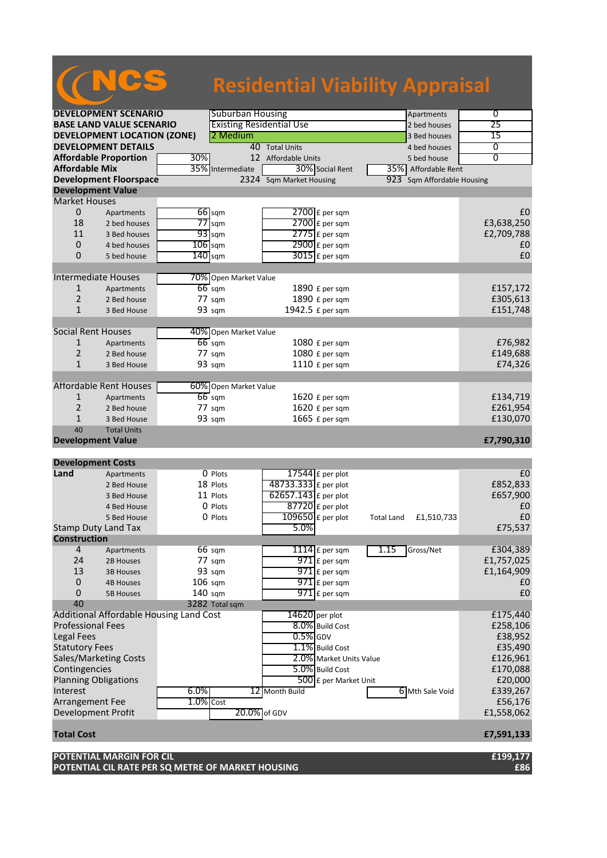## NCS **Residential Viability Appraisal**

|                           | <b>DEVELOPMENT SCENARIO</b>             |              | <b>Suburban Housing</b>         |                         | Apartments                      | $\overline{0}$ |
|---------------------------|-----------------------------------------|--------------|---------------------------------|-------------------------|---------------------------------|----------------|
|                           | <b>BASE LAND VALUE SCENARIO</b>         |              | <b>Existing Residential Use</b> |                         | 2 bed houses                    | 25             |
|                           | <b>DEVELOPMENT LOCATION (ZONE)</b>      |              | 2 Medium                        |                         | 3 Bed houses                    | 15             |
|                           | <b>DEVELOPMENT DETAILS</b>              |              |                                 | 40 Total Units          | 4 bed houses                    | 0              |
|                           | <b>Affordable Proportion</b>            | 30%          |                                 | 12 Affordable Units     | 5 bed house                     | 0              |
| <b>Affordable Mix</b>     |                                         |              | 35% Intermediate                | 30% Social Rent         | 35% Affordable Rent             |                |
|                           | <b>Development Floorspace</b>           |              |                                 | 2324 Sqm Market Housing | 923 Sqm Affordable Housing      |                |
|                           | <b>Development Value</b>                |              |                                 |                         |                                 |                |
| <b>Market Houses</b>      |                                         |              |                                 |                         |                                 |                |
| 0                         | Apartments                              |              | $66$ sqm                        | $2700$ £ per sqm        |                                 | £0             |
| 18                        | 2 bed houses                            |              | $77$ sqm                        | 2700 £ per sqm          |                                 | £3,638,250     |
| 11                        | 3 Bed houses                            |              | $93$ sqm                        | $2775$ $E$ per sqm      |                                 | £2,709,788     |
| $\pmb{0}$                 | 4 bed houses                            | $106$ sqm    |                                 | $2900$ £ per sqm        |                                 | £0             |
| 0                         | 5 bed house                             | $140$ sqm    |                                 | $3015$ £ per sqm        |                                 | £0             |
|                           |                                         |              |                                 |                         |                                 |                |
|                           | Intermediate Houses                     |              | 70% Open Market Value           |                         |                                 |                |
|                           |                                         |              | $66$ sqm                        |                         |                                 |                |
| 1<br>$\overline{2}$       | Apartments                              |              |                                 | 1890 £ per sqm          |                                 | £157,172       |
|                           | 2 Bed house                             |              | $77 \text{ sqm}$                | 1890 £ per sqm          |                                 | £305,613       |
| $\mathbf{1}$              | 3 Bed House                             |              | 93 sqm                          | 1942.5 £ per sqm        |                                 | £151,748       |
|                           |                                         |              |                                 |                         |                                 |                |
| <b>Social Rent Houses</b> |                                         |              | 40% Open Market Value           |                         |                                 |                |
| 1                         | Apartments                              |              | $66$ sqm                        | 1080 £ per sqm          |                                 | £76,982        |
| $\overline{2}$            | 2 Bed house                             |              | 77 sqm                          | 1080 £ per sqm          |                                 | £149,688       |
| $\mathbf{1}$              | 3 Bed House                             |              | 93 sqm                          | 1110 £ per sqm          |                                 | £74,326        |
|                           |                                         |              |                                 |                         |                                 |                |
|                           | <b>Affordable Rent Houses</b>           |              | 60% Open Market Value           |                         |                                 |                |
| $\mathbf{1}$              | Apartments                              |              | $66$ sqm                        | 1620 £ per sqm          |                                 | £134,719       |
| 2                         | 2 Bed house                             |              | 77 sqm                          | 1620 £ per sqm          |                                 | £261,954       |
| $\mathbf{1}$              | 3 Bed House                             |              | 93 sqm                          | 1665 £ per sqm          |                                 | £130,070       |
|                           | <b>Total Units</b>                      |              |                                 |                         |                                 |                |
| 40                        |                                         |              |                                 |                         |                                 |                |
|                           | <b>Development Value</b>                |              |                                 |                         |                                 | £7,790,310     |
|                           |                                         |              |                                 |                         |                                 |                |
|                           | <b>Development Costs</b>                |              |                                 |                         |                                 |                |
| Land                      | Apartments                              |              | O Plots                         |                         |                                 | £0             |
|                           | 2 Bed House                             |              | 18 Plots                        | $17544$ £ per plot      |                                 |                |
|                           | 3 Bed House                             |              | 11 Plots                        | 48733.333 £ per plot    |                                 | £852,833       |
|                           | 4 Bed House                             |              | 0 Plots                         | $62657.143$ £ per plot  |                                 | £657,900<br>£0 |
|                           |                                         |              |                                 | $87720$ £ per plot      |                                 | £0             |
|                           | 5 Bed House                             |              | 0 Plots                         | $109650$ £ per plot     | £1,510,733<br><b>Total Land</b> |                |
|                           | <b>Stamp Duty Land Tax</b>              |              |                                 | 5.0%                    |                                 | £75,537        |
| <b>Construction</b>       |                                         |              |                                 |                         |                                 |                |
| 4                         | Apartments                              |              | $66 \text{ sqm}$                | $1114$ E per sqm        | 1.15<br>Gross/Net               | £304,389       |
| 24                        | 2B Houses                               |              | 77 sqm                          | 971 £ per sqm           |                                 | £1,757,025     |
| 13                        | <b>3B Houses</b>                        |              | 93 sqm                          | $971$ $E$ per sqm       |                                 | £1,164,909     |
| 0                         | <b>4B Houses</b>                        | $106$ sqm    |                                 | 971 £ per sqm           |                                 | £0             |
| 0                         | <b>5B Houses</b>                        | 140 sqm      |                                 | $971$ $E$ per sqm       |                                 | £0             |
| 40                        |                                         |              | 3282 Total sqm                  |                         |                                 |                |
|                           | Additional Affordable Housing Land Cost |              |                                 | 14620 per plot          |                                 | £175,440       |
| <b>Professional Fees</b>  |                                         |              |                                 | 8.0% Build Cost         |                                 | £258,106       |
| <b>Legal Fees</b>         |                                         |              |                                 | $0.5\%$ GDV             |                                 | £38,952        |
| <b>Statutory Fees</b>     |                                         |              |                                 | 1.1% Build Cost         |                                 | £35,490        |
|                           | Sales/Marketing Costs                   |              |                                 | 2.0% Market Units Value |                                 | £126,961       |
| Contingencies             |                                         |              |                                 | 5.0% Build Cost         |                                 | £170,088       |
|                           | <b>Planning Obligations</b>             |              |                                 | 500 £ per Market Unit   |                                 | £20,000        |
| Interest                  |                                         | 6.0%         |                                 | 12 Month Build          | 6 Mth Sale Void                 | £339,267       |
| Arrangement Fee           |                                         | $1.0\%$ Cost |                                 |                         |                                 | £56,176        |
|                           | Development Profit                      |              | 20.0% of GDV                    |                         |                                 | £1,558,062     |
|                           |                                         |              |                                 |                         |                                 |                |
| <b>Total Cost</b>         |                                         |              |                                 |                         |                                 | £7,591,133     |
|                           | <b>POTENTIAL MARGIN FOR CIL</b>         |              |                                 |                         |                                 | £199,177       |

**POTENTIAL CIL RATE PER SQ METRE OF MARKET HOUSING £86**